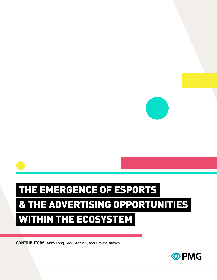

# THE EMERGENCE OF ESPORTS & THE ADVERTISING OPPORTUNITIES WITHIN THE ECOSYSTEM

**CONTRIBUTORS:** Abby Long, Nick Drabicky, and Hayley Rhodes

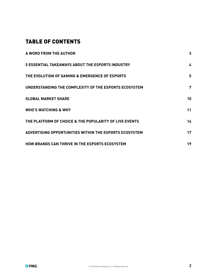# TABLE OF CONTENTS

| <b>A WORD FROM THE AUTHOR</b>                           | 3  |
|---------------------------------------------------------|----|
| <b>5 ESSENTIAL TAKEAWAYS ABOUT THE ESPORTS INDUSTRY</b> | 4  |
| THE EVOLUTION OF GAMING & EMERGENCE OF ESPORTS          | 5  |
| UNDERSTANDING THE COMPLEXITY OF THE ESPORTS ECOSYSTEM   | 7  |
| <b>GLOBAL MARKET SHARE</b>                              | 10 |
| <b>WHO'S WATCHING &amp; WHY</b>                         | 11 |
| THE PLATFORM OF CHOICE & THE POPULARITY OF LIVE EVENTS  | 14 |
| ADVERTISING OPPORTUNITIES WITHIN THE ESPORTS ECOSYSTEM  | 17 |
| HOW BRANDS CAN THRIVE IN THE ESPORTS ECOSYSTEM          | 19 |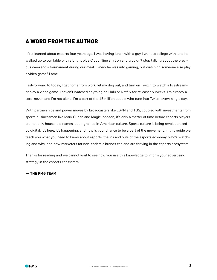# <span id="page-2-0"></span>A WORD FROM THE AUTHOR

I first learned about esports four years ago. I was having lunch with a guy I went to college with, and he walked up to our table with a bright blue Cloud Nine shirt on and wouldn't stop talking about the previous weekend's tournament during our meal. I knew he was into gaming, but watching someone else play a video game? Lame.

Fast-forward to today, I get home from work, let my dog out, and turn on Twitch to watch a livestreamer play a video game. I haven't watched anything on Hulu or Netflix for at least six weeks. I'm already a cord-never, and I'm not alone. I'm a part of the 15 million people who tune into Twitch every single day.

With partnerships and power moves by broadcasters like ESPN and TBS, coupled with investments from sports businessmen like Mark Cuban and Magic Johnson, it's only a matter of time before esports players are not only household names, but ingrained in American culture. Sports culture is being revolutionized by digital. It's here, it's happening, and now is your chance to be a part of the movement. In this guide we teach you what you need to know about esports; the ins and outs of the esports economy, who's watching and why, and how marketers for non-endemic brands can and are thriving in the esports ecosystem.

Thanks for reading and we cannot wait to see how you use this knowledge to inform your advertising strategy in the esports ecosystem.

#### **— THE PMG TEAM**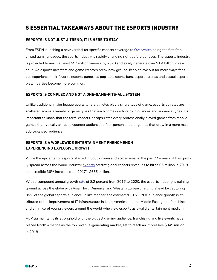# <span id="page-3-0"></span>5 ESSENTIAL TAKEAWAYS ABOUT THE ESPORTS INDUSTRY

#### **ESPORTS IS NOT JUST A TREND, IT IS HERE TO STAY**

From ESPN launching a new vertical for specific esports coverage to [Overwatch](https://overwatchleague.com/) being the first franchised gaming league, the sports industry is rapidly changing right before our eyes. The esports industry is projected to reach at least 557 million viewers by 2020 and easily generate over \$1.4 billion in revenue. As esports investors and game creators break new ground, keep an eye out for more ways fans can experience their favorite esports games as pop-ups, sports bars, esports arenas and casual esports watch parties become more common.

#### **ESPORTS IS COMPLEX AND NOT A ONE-GAME-FITS-ALL SYSTEM**

Unlike traditional major league sports where athletes play a single type of game, esports athletes are scattered across a variety of game types that each comes with its own nuances and audience types. It's important to know that the term 'esports' encapsulates every professionally played games from mobile games that typically attract a younger audience to first-person shooter games that draw in a more male adult-skewed audience.

#### **ESPORTS IS A WORLDWIDE ENTERTAINMENT PHENOMENON EXPERIENCING EXPLOSIVE GROWTH**

While the epicenter of esports started in South Korea and across Asia, in the past 15+ years, it has quickly spread across the world. Industry [experts](https://www.forbes.com/sites/mattperez/2018/02/21/report-esports-to-grow-substantially-and-near-a-billion-dollar-revenues-in-2018/#5ad1d1732b01) predict global esports revenues to hit \$905 million in 2018, an incredible 36% increase from 2017's \$655 million.

With a compound annual growth [rate](https://venturebeat.com/2017/11/28/newzoo-game-industry-growing-faster-than-expected-up-10-7-to-116-billion-2017/) of 8.2 percent from 2016 to 2020, the esports industry is gaining ground across the globe with Asia, North America, and Western Europe charging ahead by capturing 85% of the global esports audience. In like manner, the estimated 13.5% YOY audience growth is attributed to the improvement of IT infrastructure in Latin America and the Middle East, game franchises, and an influx of young viewers around the world who view esports as a valid entertainment medium.

As Asia maintains its stronghold with the biggest gaming audience, franchising and live events have placed North America as the top revenue-generating market, set to reach an impressive \$345 million in 2018.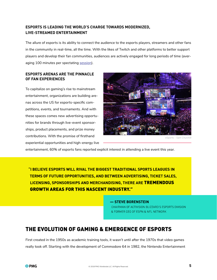### <span id="page-4-0"></span>**ESPORTS IS LEADING THE WORLD'S CHARGE TOWARDS MODERNIZED, LIVE-STREAMED ENTERTAINMENT**

The allure of esports is its ability to connect the audience to the esports players, streamers and other fans in the community in real-time, all the time. With the likes of Twitch and other platforms to better support players and develop their fan communities, audiences are actively engaged for long periods of time (averaging 100 minutes per spectating [session](http://fortune.com/2013/11/06/why-esports-are-attracting-sponsors-like-coke/)).

#### **ESPORTS ARENAS ARE THE PINNACLE OF FAN EXPERIENCES**

To capitalize on gaming's rise to mainstream entertainment, organizations are building arenas across the US for esports-specific competitions, events, and tournaments. And with these spaces comes new advertising opportunities for brands through live-event sponsorships, product placements, and prize money contributions. With the promise of firsthand experiential opportunities and high-energy live



*eSports – Sam Churchill*

entertainment, 60% of esports fans reported explicit interest in attending a live event this year.

"I BELIEVE ESPORTS WILL RIVAL THE BIGGEST TRADITIONAL SPORTS LEAGUES IN **TERMS OF FUTURE OPPORTUNITIES, AND BETWEEN ADVERTISING, TICKET SALES, LICENSING, SPONSORSHIPS AND MERCHANDISING, THERE ARE TREMENDOUS GROWTH AREAS FOR THIS NASCENT INDUSTRY."** 

#### - STEVE BORENSTEIN

CHAIRMAN OF ACTIVISION BLIZZARD'S ESPORTS DIVISION & FORMER CEO OF ESPN & NFL NETWORK

## THE EVOLUTION OF GAMING & EMERGENCE OF ESPORTS

First created in the 1950s as academic training tools, it wasn't until after the 1970s that video games really took off. Starting with the development of Commodore 64 in 1982, the Nintendo Entertainment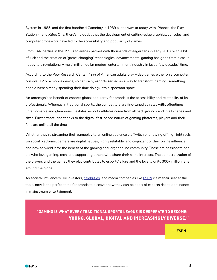System in 1985, and the first handheld Gameboy in 1989 all the way to today with iPhones, the Play-Station 4, and XBox One, there's no doubt that the development of cutting-edge graphics, consoles, and computer processors have led to the accessibility and popularity of games.

From LAN parties in the 1990s to arenas packed with thousands of eager fans in early 2018, with a bit of luck and the creation of 'game-changing' technological advancements, gaming has gone from a casual hobby to a revolutionary multi-million dollar modern entertainment industry in just a few decades' time.

According to the Pew Research Center, 49% of American adults play video games either on a computer, console, TV or a mobile device, so naturally, esports served as a way to transform gaming (something people were already spending their time doing) into a spectator sport.

An unrecognized benefit of esports global popularity for brands is the accessibility and relatability of its professionals. Whereas in traditional sports, the competitors are fine-tuned athletes with, oftentimes, unfathomable and glamorous lifestyles, esports athletes come from all backgrounds and in all shapes and sizes. Furthermore, and thanks to the digital, fast-paced nature of gaming platforms, players and their fans are online all the time.

Whether they're streaming their gameplay to an online audience via Twitch or showing off highlight reels via social platforms, gamers are digital natives, highly relatable, and cognizant of their online influence and how to wield it for the benefit of the gaming and larger online community. These are passionate people who love gaming, tech, and supporting others who share their same interests. The democratization of the players and the games they play contributes to esports' allure and the loyalty of its 300+ million fans around the globe.

As societal influencers like investors, [celebrities,](https://www.theverge.com/2018/3/15/17123424/ninja-drake-fortnite-twitch-stream-record-travis-scott-juju) and media companies like [ESPN](http://www.espn.com/esports/) claim their seat at the table, now is the perfect time for brands to discover how they can be apart of esports rise to dominance in mainstream entertainment.

"GAMING IS WHAT EVERY TRADITIONAL SPORTS LEAGUE IS DESPERATE TO BECOME: YOUNG, GLOBAL, DIGITAL AND INCREASINGLY DIVERSE."

 $-$  ESPN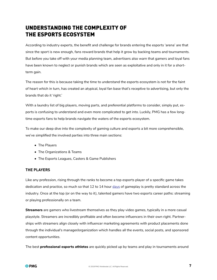# <span id="page-6-0"></span>UNDERSTANDING THE COMPLEXITY OF THE ESPORTS ECOSYSTEM

According to industry experts, the benefit and challenge for brands entering the esports 'arena' are that since the sport is new enough, fans reward brands that help it grow by backing teams and tournaments. But before you take off with your media planning team, advertisers also warn that gamers and loyal fans have been known to neglect or punish brands which are seen as exploitative and only in it for a shortterm gain.

The reason for this is because taking the time to understand the esports ecosystem is not for the faint of heart which in turn, has created an atypical, loyal fan base that's receptive to advertising, but only the brands that do it 'right.'

With a laundry list of big players, moving parts, and preferential platforms to consider, simply put, esports is confusing to understand and even more complicated to get into. Luckily, PMG has a few longtime esports fans to help brands navigate the waters of the esports ecosystem.

To make our deep dive into the complexity of gaming culture and esports a bit more comprehensible, we've simplified the involved parties into three main sections:

- The Players
- The Organizations & Teams
- The Esports Leagues, Casters & Game Publishers

#### **THE PLAYERS**

Like any profession, rising through the ranks to become a top esports player of a specific game takes dedication and practice, so much so that 12 to 14 hour [days](http://www.bbc.co.uk/newsround/37773832) of gameplay is pretty standard across the industry. Once at the top (or on the way to it), talented gamers have two esports career paths: streaming or playing professionally on a team.

**Streamers** are gamers who livestream themselves as they play video games, typically in a more casual playstyle. Streamers are incredibly profitable and often become influencers in their own right. Partnerships with streamers align closely with influencer marketing agreements with product placements done through the individual's manager/organization which handles all the events, social posts, and sponsored content opportunities.

The best **professional esports athletes** are quickly picked up by teams and play in tournaments around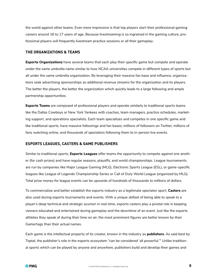the world against other teams. Even more impressive is that top players start their professional gaming careers around 16 to 17 years of age. Because livestreaming is so ingrained in the gaming culture, professional players will frequently livestream practice sessions or all their gameplay.

#### **THE ORGANIZATIONS & TEAMS**

**Esports Organizations** have several teams that each play their specific game but compete and operate under the same umbrella name similar to how NCAA universities compete in different types of sports but all under the same umbrella organization. By leveraging their massive fan base and influence, organizations seek advertising sponsorships as additional revenue streams for the organization and its players. The better the players, the better the organization which quickly leads to a large following and ample partnership opportunities.

**Esports Teams** are composed of professional players and operate similarly to traditional sports teams like the Dallas Cowboys or New York Yankees with coaches, team managers, practice schedules, marketing support, and operations specialists. Each team specializes and competes in one specific game and like traditional sports, have massive followings and fan bases; millions of followers on Twitter, millions of fans watching online, and thousands of spectators following them to in-person live events.

#### **ESPORTS LEAGUES, CASTERS & GAME PUBLISHERS**

Similar to traditional sports, **Esports Leagues** offer teams the opportunity to compete against one another (for cash prizes) and have regular seasons, playoffs, and world championships. League tournaments are run by companies like Major League Gaming (MLG), Electronic Sports League (ESL), or game-specific leagues like League of Legends Championship Series or Call of Duty World League (organized by MLG). Total prize money for league events can be upwards of hundreds of thousands to millions of dollars.

To commercialize and better establish the esports industry as a legitimate spectator sport, **Casters** are also used during esports tournaments and events. With a unique skillset of being able to speak to a player's deep technical and strategic acumen in real-time, esports casters play a pivotal role in keeping viewers educated and entertained during gameplay and the downtime of an event. Just like the esports athletes they speak of during their time on air, the most prominent figures are better known by their Gamertags than their actual names.

Each game is the intellectual property of its creator, known in the industry as **publishers**. As said best by Toptal, the publisher's role in the esports ecosystem "can be considered 'all powerful.'" Unlike traditional sports which can be played by anyone and anywhere, publishers build and develop their games and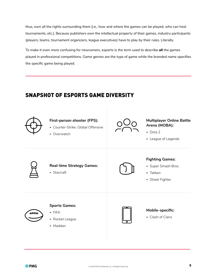thus, own all the rights surrounding them [i.e., how and where the games can be played, who can host tournaments, etc.]. Because publishers own the intellectual property of their games, industry participants (players, teams, tournament organizers, league executives) have to play by their rules. Literally.

To make it even more confusing for newcomers, esports is the term used to describe **all** the games played in professional competitions. Game genres are the type of game while the branded name specifies the specific game being played.

# SNAPSHOT OF ESPORTS GAME DIVERSITY

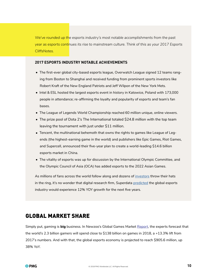<span id="page-9-0"></span>*We've rounded up the esports industry's most notable accomplishments from the past year as esports continues its rise to mainstream culture. Think of this as your 2017 Esports CliffsNotes.*

#### **2017 ESPORTS INDUSTRY NOTABLE ACHIEVEMENTS**

- The first-ever global city-based esports league, Overwatch League signed 12 teams ranging from Boston to Shanghai and received funding from prominent sports investors like Robert Kraft of the New England Patriots and Jeff Wilpon of the New York Mets.
- Intel & ESL hosted the largest esports event in history in Katowice, Poland with 173,000 people in attendance; re-affirming the loyalty and popularity of esports and team's fan bases.
- The League of Legends World Championship reached 60 million unique, online viewers.
- The prize pool of Dota 2's The International totaled \$24.8 million with the top team leaving the tournament with just under \$11 million.
- Tencent, the multinational behemoth that owns the rights to games like League of Legends (the highest-earning game in the world) and publishers like Epic Games, Riot Games, and Supercell, announced their five-year plan to create a world-leading \$14.6 billion esports market in China.
- The vitality of esports was up for discussion by the International Olympic Committee, and the Olympic Council of Asia (OCA) has added esports to the 2022 Asian Games.

As millions of fans across the world follow along and dozens of [investors](https://www.forbes.com/sites/darrenheitner/2015/09/24/the-kraft-group-and-marc-lasry-invest-in-esports/) throw their hats in the ring, it's no wonder that digital research firm, Superdata [predicted](https://www.superdataresearch.com/market-data/esports-market-report/) the global esports industry would experience 12% YOY growth for the next five years.

### GLOBAL MARKET SHARE

Simply put, gaming is **big** business. In Newzoo's Global Games Market [Report,](https://newzoo.com/insights/articles/global-games-market-reaches-137-9-billion-in-2018-mobile-games-take-half/) the experts forecast that the world's 2.3 billion gamers will spend close to \$138 billion on games in 2018, a +13.3% lift from 2017's numbers. And with that, the global esports economy is projected to reach \$905.6 million, up 38% YoY.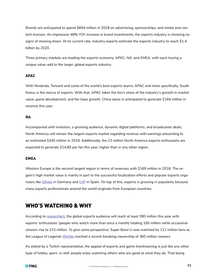<span id="page-10-0"></span>Brands are anticipated to spend \$694 million in 2018 on advertising, sponsorships, and media and content licenses. An impressive 48% YOY increase in brand investments, the esports industry is showing no signs of slowing down. At its current rate, industry experts estimate the esports industry to reach \$1.4 billion by 2020.

Three primary markets are leading the esports economy: APAC, NA, and EMEA, with each having a unique value-add to the larger, global esports industry.

#### **APAC**

With Nintendo, Tencent and some of the world's best esports teams, APAC and more specifically, South Korea, is the mecca of esports. With that, APAC takes the lion's share of the industry's growth in market value, game development, and fan base growth. China alone is anticipated to generate \$164 million in revenue this year.

#### **NA**

Accompanied with investors, a growing audience, dynamic digital platforms, and broadcaster deals, North America will remain the largest esports market regarding revenue with earnings amounting to an estimated \$345 million in 2018. Additionally, the 23 million North America esports enthusiasts are expected to generate \$14.80 per fan this year, higher than in any other region.

#### **EMEA**

Western Europe is the second-largest region in terms of revenues with \$169 million in 2018. The region's high market value is mainly in part to the successful localization efforts and popular esports organizers like  $G$ finity in Germany and  $LVP$  in Spain. On top of this, esports is growing in popularity because many esports professionals around the world originate from European countries.

## WHO'S WATCHING & WHY

According to [researchers](https://newzoo.com/insights/articles/newzoo-global-esports-economy-will-reach-905-6-million-2018-brand-investment-grows-48/), the global esports audience will reach at least 380 million this year with esports 'enthusiasts' (people who watch more than once a month) totaling 165 million while occasional viewers rise to 215 million. To give some perspective, Super Bowl LI was watched by 111 million fans as the League of Legends [Worlds](https://www.rollingstone.com/glixel/news/heres-how-many-people-watched-league-of-legends-this-year-w514580) reached a record-breaking viewership of 360 million viewers.

As stated by a Twitch representative, the appeal of esports and game livestreaming is just like any other type of hobby, sport, or skill: people enjoy watching others who are good at what they do. That being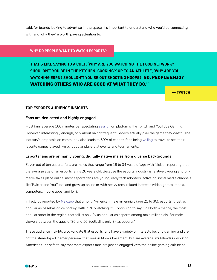said, for brands looking to advertise in the space, it's important to understand who you'd be connecting with and why they're worth paying attention to.

#### **WHY DO PEOPLE WANT TO WATCH ESPORTS?**

**"THAT'S LIKE SAYING TO A CHEF, 'WHY ARE YOU WATCHING THE FOOD NETWORK? SHOULDN'T YOU BE IN THE KITCHEN, COOKING?' OR TO AN ATHLETE, 'WHY ARE YOU WATCHING ESPN? SHOULDN'T YOU BE OUT SHOOTING HOOPS?'** NO. PEOPLE ENJOY WATCHING OTHERS WHO ARE GOOD AT WHAT THEY DO."

**— TWITCH**

#### **TOP ESPORTS AUDIENCE INSIGHTS**

#### **Fans are dedicated and highly engaged**

Most fans average 100 minutes per spectating [session](http://fortune.com/2013/11/06/why-esports-are-attracting-sponsors-like-coke/) on platforms like Twitch and YouTube Gaming. However, interestingly enough, only about half of frequent viewers actually play the game they watch. The industry's emphasis on community also leads to 60% of esports fans being [willing](http://www.mindshareintheloop.com/home/2016/6/14/game-on-what-marketers-should-know-about-esports-fans) to travel to see their favorite games played live by popular players at events and tournaments.

#### **Esports fans are primarily young, digitally native males from diverse backgrounds**

Seven out of ten esports fans are males that range from 18 to 34 years of age with Nielsen reporting that the average age of an esports fan is 26 years old. Because the esports industry is relatively young and primarily takes place online, most esports fans are young, early tech adopters, active on social media channels like Twitter and YouTube, and grew up online or with heavy tech-related interests (video games, media, computers, mobile apps, and IoT).

In fact, it's reported by [Newzoo](https://newzoo.com/insights/trend-reports/why-sports-brands-want-to-be-in-esports/) that among "American male millennials (age 21 to 35), esports is just as popular as baseball or ice hockey, with 22% watching it." Continuing to say, "in North America, the most popular sport in the region, football, is only 2x as popular as esports among male millennials. For male viewers between the ages of 36 and 50, football is only 3x as popular."

These audience insights also validate that esports fans have a variety of interests beyond gaming and are not the stereotyped 'gamer persona' that lives in Mom's basement, but are average, middle-class working Americans. It's safe to say that most esports fans are just as engaged with the online gaming culture as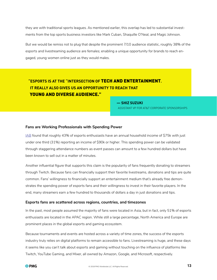they are with traditional sports leagues. As mentioned earlier, this overlap has led to substantial investments from the top sports business investors like Mark Cuban, Shaquille O'Neal, and Magic Johnson.

But we would be remiss not to plug that despite the prominent 7/10 audience statistic, roughly 38% of the esports and livestreaming audience are females; enabling a unique opportunity for brands to reach engaged, young women online just as they would males.

## **"ESPORTS IS AT THE "INTERSECTION OF** TECH AND ENTERTAINMENT**. IT REALLY ALSO GIVES US AN OPPORTUNITY TO REACH THAT** YOUNG AND DIVERSE AUDIENCE."

**— SHIZ SUZUKI** ASSISTANT VP FOR AT&T CORPORATE SPONSORSHIPS

#### **Fans are Working Professionals with Spending Power**

[IAB](https://www.iab.com/news/marketers-guide-esports-game/) found that roughly 43% of esports enthusiasts have an annual household income of \$75k with just under one third (31%) reporting an income of \$90k or higher. This spending power can be validated through staggering attendance numbers as event passes can amount to a few hundred dollars but have been known to sell out in a matter of minutes.

Another influential figure that supports this claim is the popularity of fans frequently donating to streamers through Twitch. Because fans can financially support their favorite livestreams, donations and tips are quite common. Fans' willingness to financially support an entertainment medium that's already free demonstrates the spending power of esports fans and their willingness to invest in their favorite players. In the end, many streamers earn a few hundred to thousands of dollars a day in just donations and tips.

#### **Esports fans are scattered across regions, countries, and timezones**

In the past, most people assumed the majority of fans were located in Asia, but in fact, only 51% of esports enthusiasts are located in the APAC region. While still a large percentage, North America and Europe are prominent places in the global esports and gaming ecosystem.

Because tournaments and events are hosted across a variety of time zones, the success of the esports industry truly relies on digital platforms to remain accessible to fans. Livestreaming is huge, and these days it seems like you can't talk about esports and gaming without touching on the influence of platforms like Twitch, YouTube Gaming, and Mixer, all owned by Amazon, Google, and Microsoft, respectively.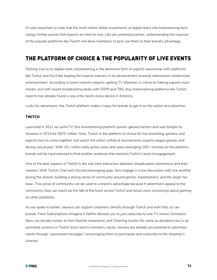<span id="page-13-0"></span>It's also important to note that the multi-million dollar investments of digital titans into livestreaming technology further proves that esports are here to stay. Like any potential partner, understanding the nuances of the popular platforms like Twitch will allow marketers to best use them to their brand's advantage.

## THE PLATFORM OF CHOICE & THE POPULARITY OF LIVE EVENTS

Sticking true to its digital roots, livestreaming is the dominant form of esports viewership with platforms like Twitch and YouTube leading the esports industry in its advancement towards mainstream modernized entertainment. According to some industry experts, getting TV attention is critical to making esports mainstream, but with recent broadcasting deals with ESPN and TBS, plus livestreaming platforms like Twitch, esports has already found a way onto nearly every device in America.

Lucky for advertisers, the Twitch platform makes it easy for brands to get in on the action and advertise.

#### **TWITCH**

Launched in 2011 as Justin.TV, this livestreaming platform quickly gained traction and was bought by Amazon in 2014 for \$970 million. Now, Twitch is the platform of choice for live streaming, gamers, and esports fans to come together and watch the action unfold at tournaments, esports league games, and during casual play. With 15+ million daily active users and users averaging 100+ minutes on the platform, brands will be hard-pressed to find another audience that matches Twitch's level of engagement.

One of the best aspects of Twitch is the real-time interaction between broadcasters (streamers) and their viewers. With Twitch Chat and Discord (messaging app), fans engage in a live discussion with one another during the stream, building a strong sense of community around games, livestreamers, and the larger fan base. This sense of community can be used to a brand's advantage because if advertisers appeal to the community, they can easily be the talk of the town across Twitch and social users conversing about gaming on other platforms.

As we spoke to earlier, viewers can support streamers directly through Twitch and with that, so can brands. From Subscriptions (imagine if Netflix allowed you to just subscribe to one TV show), Donations (fans can donate money to their favorite streamers), and Cheering (works the same as donations but is an animated currency in Twitch that's tied to monetary value), viewers are already accustomed to advertisements through "sponsored messages" encouraging them to participate and subscribe to the streamer's channel.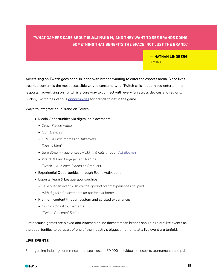## **"WHAT GAMERS CARE ABOUT IS** ALTRUISM, **AND THEY WANT TO SEE BRANDS DOING SOMETHING THAT BENEFITS THE SPACE, NOT JUST THE BRAND."**

#### **— NATHAN LINDBERG TWITCH**

Advertising on Twitch goes hand-in-hand with brands wanting to enter the esports arena. Since livestreamed content is the most accessible way to consume what Twitch calls 'modernized entertainment' (esports), advertising on Twitch is a sure way to connect with every fan across devices and regions. Luckily, Twitch has various [opportunities](http://twitchadvertising.tv/) for brands to get in the game.

Ways to Integrate Your Brand on Twitch:

- Media Opportunities via digital ad placements
	- - *Cross Screen Video*
	- - *OOT Devices*
	- - *HPTO & First Impression Takeovers*
	- - *Display Media*
	- - *Sure Stream guarantees visibility & cuts through [Ad Blockers](http://twitchadvertising.tv/ad-products/surestream/)*
	- - *Watch & Earn Engagement Ad Unit*
	- - *Twitch + Audience Extension Products*
- Experiential Opportunities through Event Activations
- Esports Team & League sponsorships
	- - *Take over an event with on-the-ground brand experiences coupled with digital ad placements for the fans at home.*
- Premium content through custom and curated experiences
	- - *Custom digital tournaments*
	- - *"Twitch Presents" Series*

Just because games are played and watched online doesn't mean brands should rule out live events as the opportunities to be apart of one of the industry's biggest moments at a live event are tenfold.

#### **LIVE EVENTS**

From gaming industry conferences that see close to 50,000 individuals to esports tournaments and pub-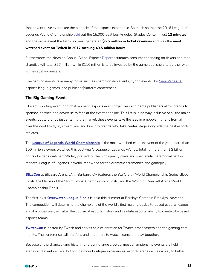lisher events, live events are the pinnacle of the esports experience. So much so that the 2016 League of Legends World Championship [sold](https://www.forbes.com/forbes/welcome/?toURL=https://www.forbes.com/sites/insertcoin/2013/08/24/league-of-legends-finals-sells-out-las-staples-center-in-an-hour/&refURL=https://www.google.com/&referrer=https://www.google.com/) out the 15,000-seat Los Angeles' Staples Center in just **12 minutes** and the same event the following year generated **\$5.5 million in ticket revenues** and was the **most watched event on Twitch in 2017 totaling 49.5 million hours**.

Furthermore, the Newzoo Annual Global Esports [Report](https://newzoo.com/insights/articles/newzoo-global-esports-economy-will-reach-905-6-million-2018-brand-investment-grows-48/) estimates consumer spending on tickets and merchandise will total \$96 million while \$116 million is to be invested by the game publishers to partner with white-label organizers.

Live gaming events take many forms such as championship events, hybrid events like [Ninja Vegas 18,](https://www.theverge.com/2018/4/24/17272632/fortnite-battle-royale-tournament-ninja-tyler-blevins-e-sports-competition-las-vegas) esports league games, and publisher/platform conferences.

#### **The Big Gaming Events**

Like any sporting event or global moment, esports event organizers and game publishers allow brands to sponsor, partner, and advertise to fans at the event or online. This list is in no way inclusive of all the major events, but to brands just entering the market, these events take the lead in empowering fans from all over the world to fly in, stream live, and buy into brands who take center stage alongside the best esports athletes.

The **[League of Legends World Championship](https://www.lolesports.com/en_US/worlds)** is the most watched esports event of the year. More than 100 million viewers watched this past year's League of Legends Worlds, totaling more than 1.2 billion hours of videos watched. Widely praised for the high-quality plays and spectacular ceremonial performances, League of Legends is world-renowned for the dramatic ceremonies and gameplay.

**[BlizzCon](https://blizzcon.com/en-us/event-info)** at Blizzard Arena LA in Burbank, CA features the StarCraft II World Championship Series Global Finals, the Heroes of the Storm Global Championship Finals, and the World of Warcraft Arena World Championship Finals.

The first-ever **[Overwatch League Finals](https://overwatchleague.com/en-us/about)** is held this summer at Barclays Center in Brooklyn, New York. The competition will determine the champions of the world's first major global, city-based esports league and if all goes well, will alter the course of esports history and validate esports' ability to create city-based esports teams.

**[TwitchCon](https://www.twitchcon.com/)** is hosted by Twitch and serves as a celebration for Twitch broadcasters and the gaming community. The conference calls for fans and streamers to watch, learn, and play together.

Because of the chances (and history) of drawing large crowds, most championship events are held in arenas and event centers, but for the more boutique experiences, esports arenas act as a way to better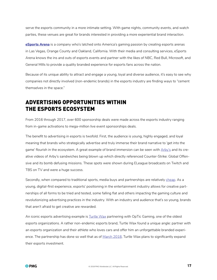<span id="page-16-0"></span>serve the esports community in a more intimate setting. With game nights, community events, and watch parties, these venues are great for brands interested in providing a more experiential brand interaction.

**[eSports Arena](https://www.esportsarena.com/)** is a company who's latched onto America's gaming passion by creating esports arenas in Las Vegas, Orange County and Oakland, California. With their media and consulting services, eSports Arena knows the ins and outs of esports events and partner with the likes of NBC, Red Bull, Microsoft, and General Mills to provide a quality branded experience for esports fans across the nation.

Because of its unique ability to attract and engage a young, loyal and diverse audience, it's easy to see why companies not directly involved (non-endemic brands) in the esports industry are finding ways to "cement themselves in the space."

## ADVERTISING OPPORTUNITIES WITHIN THE ESPORTS ECOSYSTEM

From 2016 through 2017, over 600 sponsorship deals were made across the esports industry ranging from in-game activations to mega-million live event sponsorships deals.

The benefit to advertising in esports is twofold. First, the audience is young, highly engaged, and loyal meaning that brands who strategically advertise and truly immerse their brand narrative to 'get into the game' flourish in the ecosystem. A great example of brand immersion can be seen with [Arby's](https://www.youtube.com/watch?v=E-Qci6ZriUU) and its creative videos of Arby's sandwiches being blown up which directly referenced Counter-Strike: Global Offensive and its bomb defusing missions. These spots were shown during ELeague broadcasts on Twitch and TBS on TV and were a huge success.

Secondly, when compared to traditional sports, media buys and partnerships are relatively [cheap.](https://www.si.com/tech-media/2017/02/09/esports-industry-expectations-billion-dollar) As a young, digital-first experience, esports' positioning in the entertainment industry allows for creative partnerships of all forms to be tried and tested, some falling flat and others impacting the gaming culture and revolutionizing advertising practices in the industry. With an industry and audience that's so young, brands that aren't afraid to get creative are rewarded.

An iconic esports advertising example is [Turtle Wax](https://www.turtlewax.com/gaming) partnering with OpTic Gaming, one of the oldest esports organizations. A rather non-endemic esports brand, Turtle Wax found a unique angle: partner with an esports organization and their athlete who loves cars and offer him an unforgettable branded experi-ence. The partnership has done so well that as of [March 2018](https://www.forbes.com/sites/darrenheitner/2018/03/27/turtle-wax-expands-on-existing-esports-partnerships/), Turtle Wax plans to significantly expand their esports investment.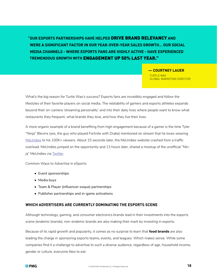**"OUR ESPORTS PARTNERSHIPS HAVE HELPED** DRIVE BRAND RELEVANCY **AND WERE A SIGNIFICANT FACTOR IN OUR YEAR-OVER-YEAR SALES GROWTH… OUR SOCIAL MEDIA CHANNELS - WHERE ESPORTS FANS ARE HIGHLY ACTIVE - HAVE EXPERIENCED TREMENDOUS GROWTH WITH** ENGAGEMENT UP 50% LAST YEAR."

> **— COURTNEY LAUER** TURTLE WAX GLOBAL MARKETING DIRECTOR

What's the big reason for Turtle Wax's success? Esports fans are incredibly engaged and follow the lifestyles of their favorite players on social media. The relatability of gamers and esports athletes expands beyond their on-camera 'streaming personality' and into their daily lives where people want to know what restaurants they frequent, what brands they love, and how they live their lives.

A more organic example of a brand benefiting from high engagement because of a gamer is the time Tyler "Ninja" Blevins (yes, the guy who played Fortnite with Drake) mentioned on stream that he loves wearing [MeUndies](https://twitter.com/ninja/status/976352843606233088?lang=en) to his 100K+ viewers. About 15 seconds later, the MeUndies website crashed from a traffic overload. MeUndies jumped on the opportunity and 13 hours later, shared a mockup of the unofficial "Nin-ja" MeUndies via [Twitter](https://twitter.com/MeUndies/status/976578218076471296).

Common Ways to Advertise in eSports:

- Event sponsorships
- Media buys
- Team & Player (influencer-esque) partnerships
- Publisher partnerships and in-game activations

#### **WHICH ADVERTISERS ARE CURRENTLY DOMINATING THE ESPORTS SCENE**

Although technology, gaming, and consumer electronics brands lead in their investments into the esports scene (endemic brands), non-endemic brands are also making their mark by investing in esports.

Because of its rapid growth and popularity, it comes as no surprise to learn that **food brands** are also leading the charge in sponsoring esports teams, events, and leagues. Which makes sense. While some companies find it a challenge to advertise to such a diverse audience, regardless of age, household income, gender or culture, everyone likes to eat.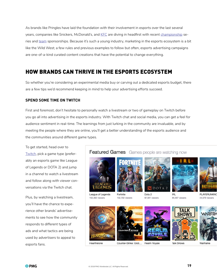<span id="page-18-0"></span>As brands like Pringles have laid the foundation with their involvement in esports over the last several years, companies like Snickers, McDonald's, and [KFC](https://esportsobserver.com/esforce-partners-with-kfc/) are diving in headfirst with recent [championship](https://esportsobserver.com/snickers-latest-sponsor-rlcs/) series and [team](https://esportsobserver.com/mcdonalds-germany-partners-with-esl/) sponsorships. Because it's such a young industry, marketing in the esports ecosystem is a bit like the Wild West; a few rules and previous examples to follow but often, esports advertising campaigns are one-of-a-kind curated content creations that have the potential to change everything.

## HOW BRANDS CAN THRIVE IN THE ESPORTS ECOSYSTEM

So whether you're considering an experimental media buy or carving out a dedicated esports budget, there are a few tips we'd recommend keeping in mind to help your advertising efforts succeed.

#### **SPEND SOME TIME ON TWITCH**

First and foremost, don't hesitate to personally watch a livestream or two of gameplay on Twitch before you go all into advertising in the esports industry. With Twitch chat and social media, you can get a feel for audience sentiment in real-time. The learnings from just lurking in the community are invaluable, and by meeting the people where they are online, you'll get a better understanding of the esports audience and the communities around different game types.

To get started, head over to [Twitch](https://www.twitch.tv/), pick a game type (preferably an esports game like League of Legends or DOTA 2) and jump in a channel to watch a livestream and follow along with viewer conversations via the Twitch chat.

Plus, by watching a livestream, you'll have the chance to experience other brands' advertisements to see how the community responds to different types of ads and what tactics are being used by advertisers to appeal to esports fans.

#### Featured Games Games people are watching now







Fortnite 132,702 viewers

COUNTER ASTR



Dota 2 97,561 viewers

**IRL** 

84,587 viewers



**PLAYERUNKNO** 

44,579 viewers

Counter-Strike: Glob... Realm Royale

**Talk Shows** 

Warframe



**FARTHSTONE** 

Hearthstone

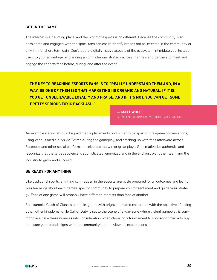#### **GET IN THE GAME**

The Internet is a daunting place, and the world of esports is no different. Because the community is so passionate and engaged with the sport, fans can easily identify brands not as invested in the community or only in it for short-term gain. Don't let the digitally-native aspects of the ecosystem intimidate you. Instead, use it to your advantage by planning an omnichannel strategy across channels and partners to meet and engage the esports fans before, during, and after the event.

**THE KEY TO REACHING ESPORTS FANS IS TO "REALLY UNDERSTAND THEM AND, IN A WAY, BE ONE OF THEM [SO THAT MARKETING] IS ORGANIC AND NATURAL. IF IT IS, YOU GET UNBELIEVABLE LOYALTY AND PRAISE. AND IF IT'S NOT, YOU CAN GET SOME PRETTY SERIOUS TOXIC BACKLASH."**

**— MATT WOLF**

VP OF ENTERTAINMENT VENTURES AND GAMING

An example via social could be paid media placements on Twitter to be apart of pre-game conversations, using various media buys via Twitch during the gameplay, and catching up with fans afterward across Facebook and other social platforms to celebrate the win or great plays. Get creative, be authentic, and recognize that the target audience is sophisticated, energized and in the end, just want their team and the industry to grow and succeed.

#### **BE READY FOR ANYTHING**

Like traditional sports, anything can happen in the esports arena. Be prepared for all outcomes and lean on your learnings about each game's specific community to prepare you for sentiment and guide your strategy. Fans of one game will probably have different interests than fans of another.

For example, Clash of Clans is a mobile-game, with bright, animated characters with the objective of taking down other kingdoms while Call of Duty is set to the scene of a war-zone where violent gameplay is commonplace; take these nuances into consideration when choosing a tournament to sponsor or media to buy to ensure your brand aligns with the community and the viewer's expectations.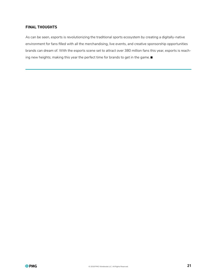#### **FINAL THOUGHTS**

As can be seen, esports is revolutionizing the traditional sports ecosystem by creating a digitally-native environment for fans filled with all the merchandising, live events, and creative sponsorship opportunities brands can dream of. With the esports scene set to attract over 380 million fans this year, esports is reaching new heights; making this year the perfect time for brands to get in the game. ■